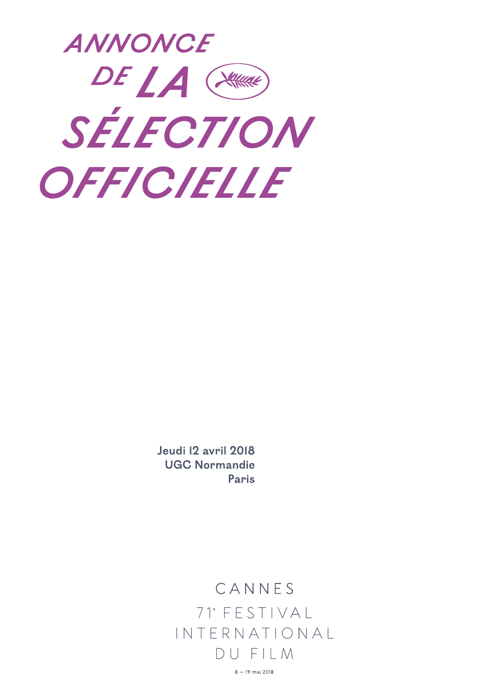

Jeudi 12 avril 2018 **UGC Normandie** Paris

> CANNES  $71°$  FESTIVAL INTERNATIONAL DUFILM  $8 - 19$  mai 2018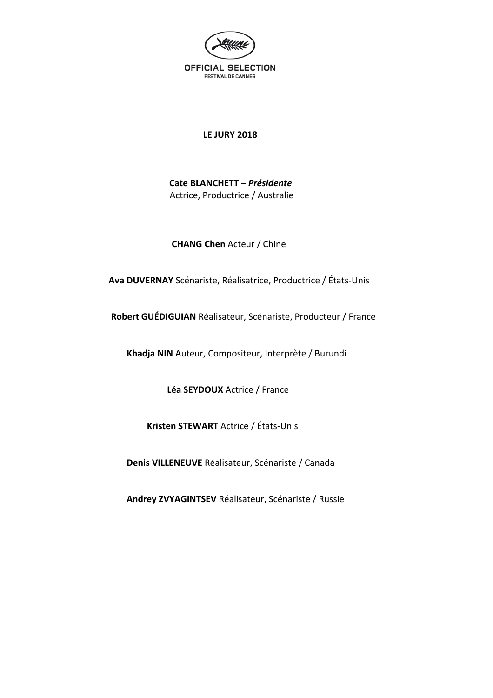

### **LE JURY 2018**

 **Cate BLANCHETT –** *Présidente* Actrice, Productrice / Australie

 **CHANG Chen** Acteur / Chine

 **Ava DUVERNAY** Scénariste, Réalisatrice, Productrice / États-Unis

 **Robert GUÉDIGUIAN** Réalisateur, Scénariste, Producteur / France

 **Khadja NIN** Auteur, Compositeur, Interprète / Burundi

 **Léa SEYDOUX** Actrice / France

 **Kristen STEWART** Actrice / États-Unis

 **Denis VILLENEUVE** Réalisateur, Scénariste / Canada

 **Andrey ZVYAGINTSEV** Réalisateur, Scénariste / Russie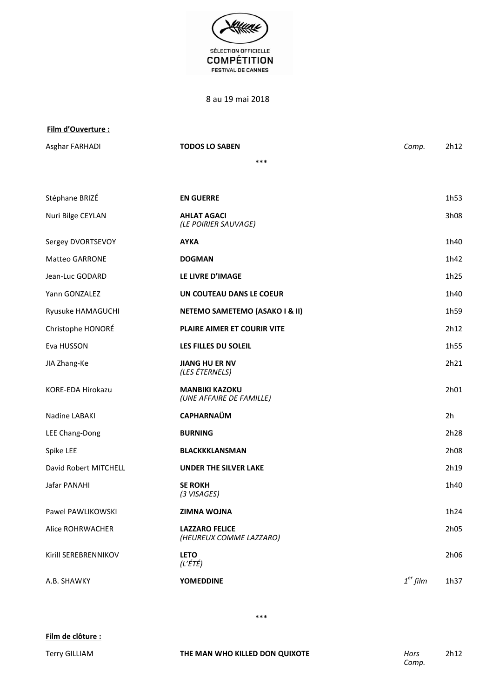

8 au 19 mai 2018

#### **Film d'Ouverture :**

Asghar FARHADI **TODOS LO SABEN** *Comp.* 2h12 \*\*\* Stéphane BRIZÉ **EN GUERRE EN GUERRE** 1h53 **AHLAT AGACI** 3h08

| Nuri Bilge CEYLAN        | <b>AHLAT AGACI</b><br>(LE POIRIER SAUVAGE)        |            | 3h08           |
|--------------------------|---------------------------------------------------|------------|----------------|
| Sergey DVORTSEVOY        | <b>AYKA</b>                                       |            | 1h40           |
| <b>Matteo GARRONE</b>    | <b>DOGMAN</b>                                     |            | 1h42           |
| Jean-Luc GODARD          | LE LIVRE D'IMAGE                                  |            | 1h25           |
| Yann GONZALEZ            | UN COUTEAU DANS LE COEUR                          |            | 1h40           |
| Ryusuke HAMAGUCHI        | NETEMO SAMETEMO (ASAKO I & II)                    |            | 1h59           |
| Christophe HONORÉ        | PLAIRE AIMER ET COURIR VITE                       |            | 2h12           |
| Eva HUSSON               | LES FILLES DU SOLEIL                              |            | 1h55           |
| JIA Zhang-Ke             | <b>JIANG HU ER NV</b><br>(LES ÉTERNELS)           |            | 2h21           |
| <b>KORE-EDA Hirokazu</b> | <b>MANBIKI KAZOKU</b><br>(UNE AFFAIRE DE FAMILLE) |            | 2h01           |
| Nadine LABAKI            | <b>CAPHARNAÜM</b>                                 |            | 2 <sub>h</sub> |
| LEE Chang-Dong           | <b>BURNING</b>                                    |            | 2h28           |
| Spike LEE                | <b>BLACKKKLANSMAN</b>                             |            | 2h08           |
| David Robert MITCHELL    | <b>UNDER THE SILVER LAKE</b>                      |            | 2h19           |
| Jafar PANAHI             | <b>SE ROKH</b><br>(3 VISAGES)                     |            | 1h40           |
| Pawel PAWLIKOWSKI        | <b>ZIMNA WOJNA</b>                                |            | 1h24           |
| Alice ROHRWACHER         | <b>LAZZARO FELICE</b><br>(HEUREUX COMME LAZZARO)  |            | 2h05           |
| Kirill SEREBRENNIKOV     | <b>LETO</b><br>(L'ÉTÉ)                            |            | 2h06           |
| A.B. SHAWKY              | <b>YOMEDDINE</b>                                  | $1er$ film | 1h37           |

\*\*\*

Terry GILLIAM **THE MAN WHO KILLED DON QUIXOTE** *Hors*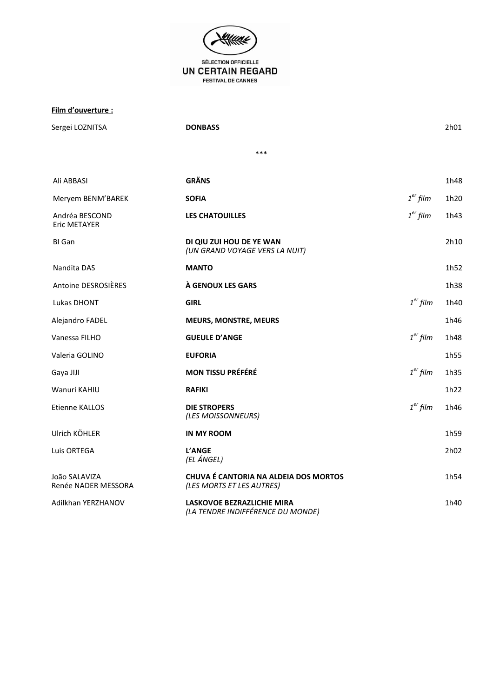

Film d'ouverture :

Sergei LOZNITSA **DONBASS** 2h01  $***$ **GRÄNS** Ali ABBASI 1h48 **SOFIA**  $1<sup>er</sup> film$ 1h20 Meryem BENM'BAREK  $1<sup>er</sup>$  film Andréa BESCOND **LES CHATOUILLES** 1h43 Eric METAYER **BI** Gan DI QIU ZUI HOU DE YE WAN  $2h10$ (UN GRAND VOYAGE VERS LA NUIT) Nandita DAS **MANTO** 1h52 Antoine DESROSIÈRES À GENOUX LES GARS 1h38  $1<sup>er</sup> film$ Lukas DHONT **GIRL** 1h40 Alejandro FADEL **MEURS, MONSTRE, MEURS** 1h46  $1<sup>er</sup>$  film Vanessa FILHO **GUEULE D'ANGE** 1h48 Valeria GOLINO **EUFORIA** 1h55  $1<sup>er</sup>$  film Gaya JIJI **MON TISSU PRÉFÉRÉ** 1h35 Wanuri KAHIU **RAFIKI** 1h22 Etienne KALLOS **DIE STROPERS**  $1<sup>er</sup>$  film 1h46 (LES MOISSONNEURS) Ulrich KÖHLER **IN MY ROOM** 1h59 Luis ORTEGA L'ANGE  $2h02$ (EL ÁNGEL) **CHUVA É CANTORIA NA ALDEIA DOS MORTOS** João SALAVIZA 1h54 Renée NADER MESSORA (LES MORTS ET LES AUTRES) Adilkhan YERZHANOV **LASKOVOE BEZRAZLICHIE MIRA** 1h40 (LA TENDRE INDIFFÉRENCE DU MONDE)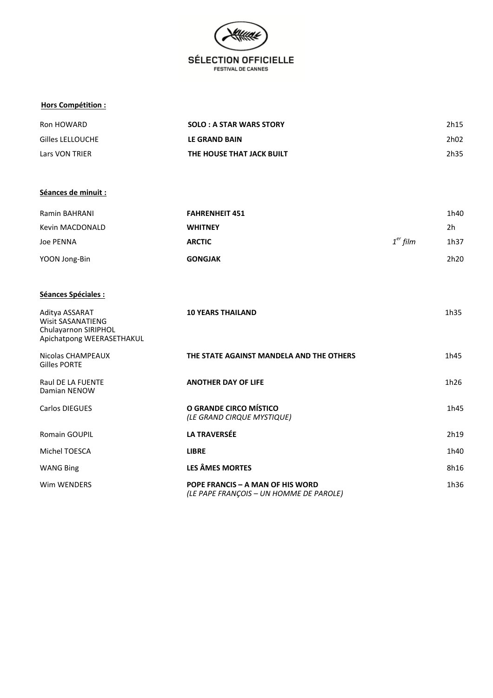

#### **Hors Compétition :**

| Ron HOWARD       | <b>SOLO : A STAR WARS STORY</b> | 2h15 |
|------------------|---------------------------------|------|
| Gilles LELLOUCHE | <b>LE GRAND BAIN</b>            | 2h02 |
| Lars VON TRIER   | THE HOUSE THAT JACK BUILT       | 2h35 |

#### **Séances de minuit :**

| Ramin BAHRANI   | <b>FAHRENHEIT 451</b> |            | 1h40 |
|-----------------|-----------------------|------------|------|
| Kevin MACDONALD | <b>WHITNEY</b>        |            | 2h   |
| Joe PENNA       | <b>ARCTIC</b>         | $1er$ film | 1h37 |
| YOON Jong-Bin   | <b>GONGJAK</b>        |            | 2h20 |

#### **Séances Spéciales :**

| Aditya ASSARAT<br>Wisit SASANATIENG<br>Chulayarnon SIRIPHOL<br>Apichatpong WEERASETHAKUL | <b>10 YEARS THAILAND</b>                                                    | 1h35 |
|------------------------------------------------------------------------------------------|-----------------------------------------------------------------------------|------|
| Nicolas CHAMPEAUX<br>Gilles PORTE                                                        | THE STATE AGAINST MANDELA AND THE OTHERS                                    | 1h45 |
| <b>Raul DE LA FUENTE</b><br>Damian NENOW                                                 | <b>ANOTHER DAY OF LIFE</b>                                                  | 1h26 |
| Carlos DIEGUES                                                                           | O GRANDE CIRCO MÍSTICO<br>(LE GRAND CIRQUE MYSTIQUE)                        | 1h45 |
| <b>Romain GOUPIL</b>                                                                     | <b>LA TRAVERSÉE</b>                                                         | 2h19 |
| Michel TOESCA                                                                            | <b>LIBRE</b>                                                                | 1h40 |
| <b>WANG Bing</b>                                                                         | <b>LES ÂMES MORTES</b>                                                      | 8h16 |
| Wim WENDERS                                                                              | POPE FRANCIS – A MAN OF HIS WORD<br>(LE PAPE FRANCOIS - UN HOMME DE PAROLE) | 1h36 |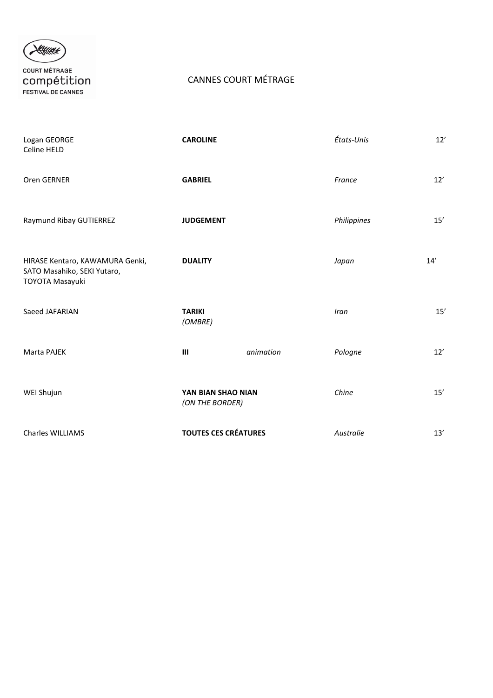

**COURT MÉTRAGE** COMPÉtition

## CANNES COURT MÉTRAGE

| Logan GEORGE<br>Celine HELD                                                       | <b>CAROLINE</b>                       |           | États-Unis  | 12' |
|-----------------------------------------------------------------------------------|---------------------------------------|-----------|-------------|-----|
| Oren GERNER                                                                       | <b>GABRIEL</b>                        |           | France      | 12' |
| Raymund Ribay GUTIERREZ                                                           | <b>JUDGEMENT</b>                      |           | Philippines | 15' |
| HIRASE Kentaro, KAWAMURA Genki,<br>SATO Masahiko, SEKI Yutaro,<br>TOYOTA Masayuki | <b>DUALITY</b>                        |           | Japan       | 14' |
| Saeed JAFARIAN                                                                    | <b>TARIKI</b><br>(OMBRE)              |           | Iran        | 15' |
| Marta PAJEK                                                                       | $\mathbf{III}$                        | animation | Pologne     | 12' |
| WEI Shujun                                                                        | YAN BIAN SHAO NIAN<br>(ON THE BORDER) |           | Chine       | 15' |
| Charles WILLIAMS                                                                  | <b>TOUTES CES CRÉATURES</b>           |           | Australie   | 13' |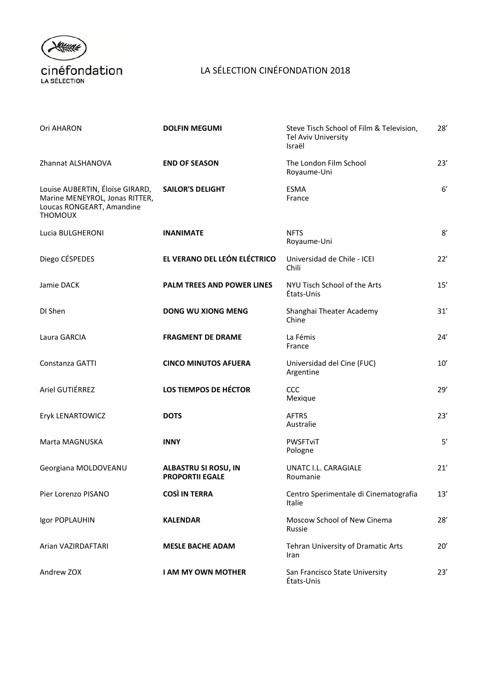

## LA SÉLECTION CINÉFONDATION 2018

| Ori AHARON                                                                                                       | <b>DOLFIN MEGUMI</b>                                  | Steve Tisch School of Film & Television,<br>Tel Aviv University<br>Israël | $28^{\prime}$ |
|------------------------------------------------------------------------------------------------------------------|-------------------------------------------------------|---------------------------------------------------------------------------|---------------|
| Zhannat ALSHANOVA                                                                                                | <b>END OF SEASON</b>                                  | The London Film School<br>Royaume-Uni                                     | 23'           |
| Louise AUBERTIN, Éloïse GIRARD,<br>Marine MENEYROL, Jonas RITTER,<br>Loucas RONGEART, Amandine<br><b>THOMOUX</b> | <b>SAILOR'S DELIGHT</b>                               | ESMA<br>France                                                            | 6'            |
| Lucia BULGHERONI                                                                                                 | <b>INANIMATE</b>                                      | <b>NFTS</b><br>Royaume-Uni                                                | 8'            |
| Diego CÉSPEDES                                                                                                   | EL VERANO DEL LEÓN ELÉCTRICO                          | Universidad de Chile - ICEI<br>Chili                                      | 22'           |
| Jamie DACK                                                                                                       | PALM TREES AND POWER LINES                            | NYU Tisch School of the Arts<br>États-Unis                                | 15'           |
| DI Shen                                                                                                          | <b>DONG WU XIONG MENG</b>                             | Shanghai Theater Academy<br>Chine                                         | 31'           |
| Laura GARCIA                                                                                                     | <b>FRAGMENT DE DRAME</b>                              | La Fémis<br>France                                                        | 24'           |
| Constanza GATTI                                                                                                  | <b>CINCO MINUTOS AFUERA</b>                           | Universidad del Cine (FUC)<br>Argentine                                   | 10'           |
| Ariel GUTIÉRREZ                                                                                                  | LOS TIEMPOS DE HÉCTOR                                 | <b>CCC</b><br>Mexique                                                     | 29'           |
| Eryk LENARTOWICZ                                                                                                 | <b>DOTS</b>                                           | <b>AFTRS</b><br>Australie                                                 | 23'           |
| Marta MAGNUSKA                                                                                                   | <b>INNY</b>                                           | <b>PWSFTviT</b><br>Pologne                                                | 5'            |
| Georgiana MOLDOVEANU                                                                                             | <b>ALBASTRU SI ROSU, IN</b><br><b>PROPORTII EGALE</b> | UNATC I.L. CARAGIALE<br>Roumanie                                          | 21'           |
| Pier Lorenzo PISANO                                                                                              | <b>COSÌ IN TERRA</b>                                  | Centro Sperimentale di Cinematografia<br>Italie                           | 13'           |
| Igor POPLAUHIN                                                                                                   | <b>KALENDAR</b>                                       | Moscow School of New Cinema<br>Russie                                     | 28'           |
| Arian VAZIRDAFTARI                                                                                               | <b>MESLE BACHE ADAM</b>                               | Tehran University of Dramatic Arts<br>Iran                                | 20'           |
| Andrew ZOX                                                                                                       | <b>I AM MY OWN MOTHER</b>                             | San Francisco State University<br>États-Unis                              | 23'           |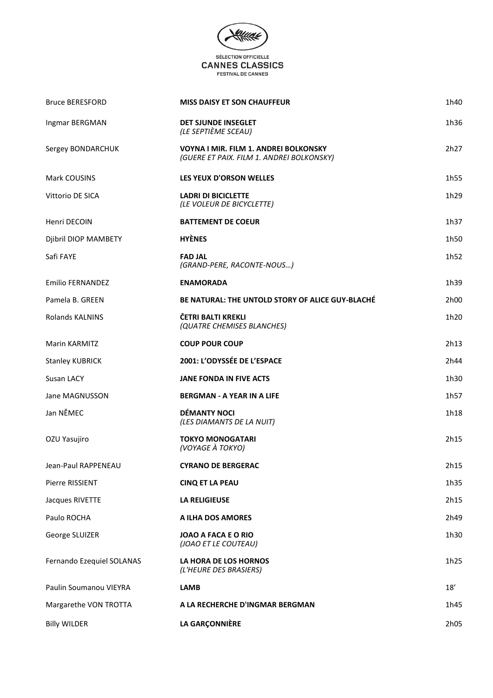

| <b>Bruce BERESFORD</b>    | <b>MISS DAISY ET SON CHAUFFEUR</b>                                                 | 1h40 |
|---------------------------|------------------------------------------------------------------------------------|------|
| Ingmar BERGMAN            | DET SJUNDE INSEGLET<br>(LE SEPTIÈME SCEAU)                                         | 1h36 |
| Sergey BONDARCHUK         | VOYNA I MIR. FILM 1. ANDREI BOLKONSKY<br>(GUERE ET PAIX. FILM 1. ANDREI BOLKONSKY) | 2h27 |
| Mark COUSINS              | LES YEUX D'ORSON WELLES                                                            | 1h55 |
| Vittorio DE SICA          | <b>LADRI DI BICICLETTE</b><br>(LE VOLEUR DE BICYCLETTE)                            | 1h29 |
| Henri DECOIN              | <b>BATTEMENT DE COEUR</b>                                                          | 1h37 |
| Djibril DIOP MAMBETY      | <b>HYÈNES</b>                                                                      | 1h50 |
| Safi FAYE                 | <b>FAD JAL</b><br>(GRAND-PERE, RACONTE-NOUS)                                       | 1h52 |
| Emilio FERNANDEZ          | <b>ENAMORADA</b>                                                                   | 1h39 |
| Pamela B. GREEN           | <b>BE NATURAL: THE UNTOLD STORY OF ALICE GUY-BLACHÉ</b>                            | 2h00 |
| <b>Rolands KALNINS</b>    | ČETRI BALTI KREKLI<br>(QUATRE CHEMISES BLANCHES)                                   | 1h20 |
| Marin KARMITZ             | <b>COUP POUR COUP</b>                                                              | 2h13 |
| <b>Stanley KUBRICK</b>    | 2001: L'ODYSSÉE DE L'ESPACE                                                        | 2h44 |
| Susan LACY                | <b>JANE FONDA IN FIVE ACTS</b>                                                     | 1h30 |
| Jane MAGNUSSON            | <b>BERGMAN - A YEAR IN A LIFE</b>                                                  | 1h57 |
| Jan NĚMEC                 | <b>DÉMANTY NOCI</b><br>(LES DIAMANTS DE LA NUIT)                                   | 1h18 |
| OZU Yasujiro              | <b>TOKYO MONOGATARI</b><br>(VOYAGE À TOKYO)                                        | 2h15 |
| Jean-Paul RAPPENEAU       | <b>CYRANO DE BERGERAC</b>                                                          | 2h15 |
| Pierre RISSIENT           | <b>CINQ ET LA PEAU</b>                                                             | 1h35 |
| Jacques RIVETTE           | <b>LA RELIGIEUSE</b>                                                               | 2h15 |
| Paulo ROCHA               | A ILHA DOS AMORES                                                                  | 2h49 |
| George SLUIZER            | JOAO A FACA E O RIO<br>(JOAO ET LE COUTEAU)                                        | 1h30 |
| Fernando Ezequiel SOLANAS | LA HORA DE LOS HORNOS<br>(L'HEURE DES BRASIERS)                                    | 1h25 |
| Paulin Soumanou VIEYRA    | <b>LAMB</b>                                                                        | 18'  |
| Margarethe VON TROTTA     | A LA RECHERCHE D'INGMAR BERGMAN                                                    | 1h45 |
| <b>Billy WILDER</b>       | LA GARÇONNIÈRE                                                                     | 2h05 |